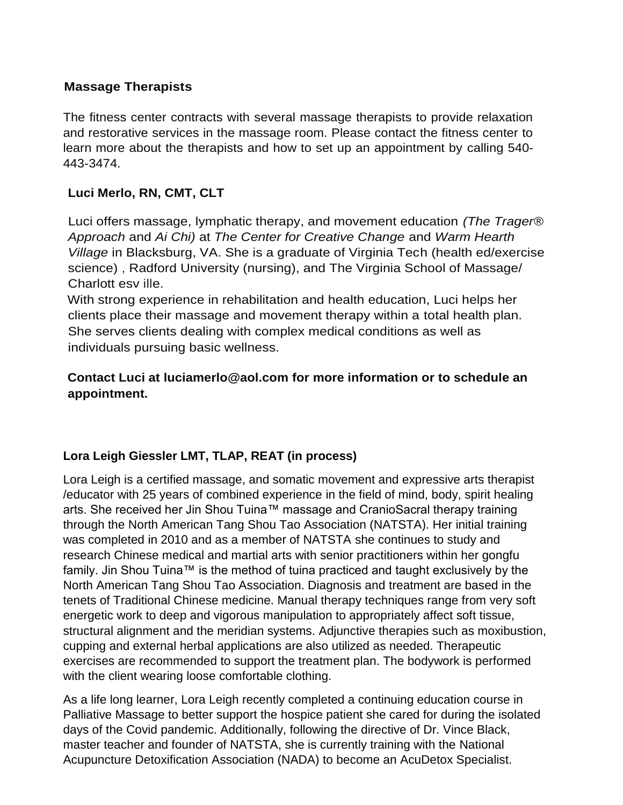## **Massage Therapists**

The fitness center contracts with several massage therapists to provide relaxation and restorative services in the massage room. Please contact the fitness center to learn more about the therapists and how to set up an appointment by calling 540- 443-3474.

## **Luci Merlo, RN, CMT, CLT**

Luci offers massage, lymphatic therapy, and movement education *(The Trager® Approach* and *Ai Chi)* at *The Center for Creative Change* and *Warm Hearth Village* in Blacksburg, VA. She is a graduate of Virginia Tech (health ed/exercise science) , Radford University (nursing), and The Virginia School of Massage/ Charlott esv ille.

With strong experience in rehabilitation and health education, Luci helps her clients place their massage and movement therapy within a total health plan. She serves clients dealing with complex medical conditions as well as individuals pursuing basic wellness.

## **Contact Luci at [luciamerlo@aol.com f](mailto:luciamerlo@aol.com)or more information or to schedule an appointment.**

## **Lora Leigh Giessler LMT, TLAP, REAT (in process)**

Lora Leigh is a certified massage, and somatic movement and expressive arts therapist /educator with 25 years of combined experience in the field of mind, body, spirit healing arts. She received her Jin Shou Tuina™ massage and CranioSacral therapy training through the North American Tang Shou Tao Association (NATSTA). Her initial training was completed in 2010 and as a member of NATSTA she continues to study and research Chinese medical and martial arts with senior practitioners within her gongfu family. Jin Shou Tuina™ is the method of tuina practiced and taught exclusively by the North American Tang Shou Tao Association. Diagnosis and treatment are based in the tenets of Traditional Chinese medicine. Manual therapy techniques range from very soft energetic work to deep and vigorous manipulation to appropriately affect soft tissue, structural alignment and the meridian systems. Adjunctive therapies such as moxibustion, cupping and external herbal applications are also utilized as needed. Therapeutic exercises are recommended to support the treatment plan. The bodywork is performed with the client wearing loose comfortable clothing.

As a life long learner, Lora Leigh recently completed a continuing education course in Palliative Massage to better support the hospice patient she cared for during the isolated days of the Covid pandemic. Additionally, following the directive of Dr. Vince Black, master teacher and founder of NATSTA, she is currently training with the National Acupuncture Detoxification Association (NADA) to become an AcuDetox Specialist.